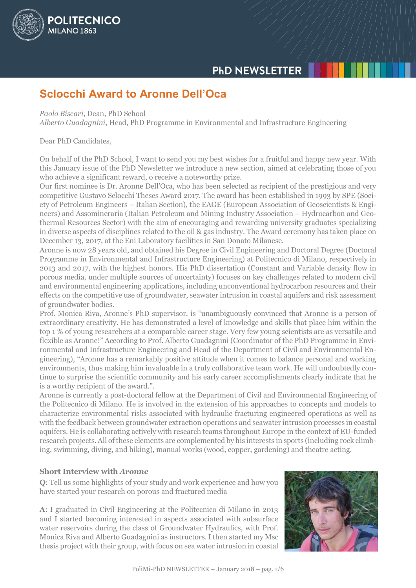

# **Sclocchi Award to Aronne Dell'Oca**

### *Paolo Biscari*, Dean, PhD School

POLITECNICO

**MILANO 1863** 

*Alberto Guadagnini*, Head, PhD Programme in Environmental and Infrastructure Engineering

### Dear PhD Candidates,

On behalf of the PhD School, I want to send you my best wishes for a fruitful and happy new year. With this January issue of the PhD Newsletter we introduce a new section, aimed at celebrating those of you who achieve a significant reward, o receive a noteworthy prize.

Our first nominee is Dr. Aronne Dell'Oca, who has been selected as recipient of the prestigious and very competitive Gustavo Sclocchi Theses Award 2017. The award has been established in 1993 by SPE (Society of Petroleum Engineers – Italian Section), the EAGE (European Association of Geoscientists & Engineers) and Assomineraria (Italian Petroleum and Mining Industry Association – Hydrocarbon and Geothermal Resources Sector) with the aim of encouraging and rewarding university graduates specializing in diverse aspects of disciplines related to the oil & gas industry. The Award ceremony has taken place on December 13, 2017, at the Eni Laboratory facilities in San Donato Milanese.

Aronne is now 28 years old, and obtained his Degree in Civil Engineering and Doctoral Degree (Doctoral Programme in Environmental and Infrastructure Engineering) at Politecnico di Milano, respectively in 2013 and 2017, with the highest honors. His PhD dissertation (Constant and Variable density flow in porous media, under multiple sources of uncertainty) focuses on key challenges related to modern civil and environmental engineering applications, including unconventional hydrocarbon resources and their effects on the competitive use of groundwater, seawater intrusion in coastal aquifers and risk assessment of groundwater bodies.

Prof. Monica Riva, Aronne's PhD supervisor, is "unambiguously convinced that Aronne is a person of extraordinary creativity. He has demonstrated a level of knowledge and skills that place him within the top 1 % of young researchers at a comparable career stage. Very few young scientists are as versatile and flexible as Aronne!" According to Prof. Alberto Guadagnini (Coordinator of the PhD Programme in Environmental and Infrastructure Engineering and Head of the Department of Civil and Environmental Engineering), "Aronne has a remarkably positive attitude when it comes to balance personal and working environments, thus making him invaluable in a truly collaborative team work. He will undoubtedly continue to surprise the scientific community and his early career accomplishments clearly indicate that he is a worthy recipient of the award.".

Aronne is currently a post-doctoral fellow at the Department of Civil and Environmental Engineering of the Politecnico di Milano. He is involved in the extension of his approaches to concepts and models to characterize environmental risks associated with hydraulic fracturing engineered operations as well as with the feedback between groundwater extraction operations and seawater intrusion processes in coastal aquifers. He is collaborating actively with research teams throughout Europe in the context of EU-funded research projects. All of these elements are complemented by his interests in sports (including rock climbing, swimming, diving, and hiking), manual works (wood, copper, gardening) and theatre acting.

## **Short Interview with** *Aronne*

**Q**: Tell us some highlights of your study and work experience and how you have started your research on porous and fractured media

**A**: I graduated in Civil Engineering at the Politecnico di Milano in 2013 and I started becoming interested in aspects associated with subsurface water reservoirs during the class of Groundwater Hydraulics, with Prof. Monica Riva and Alberto Guadagnini as instructors. I then started my Msc thesis project with their group, with focus on sea water intrusion in coastal

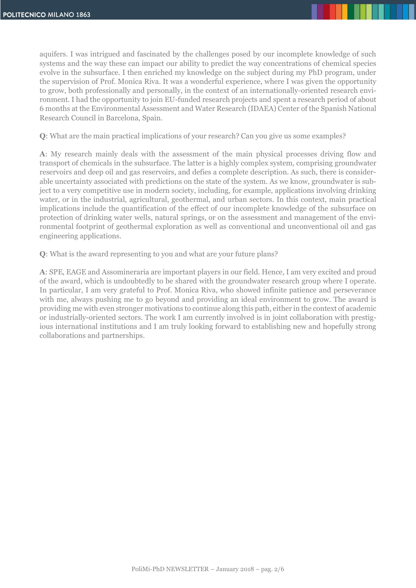aquifers. I was intrigued and fascinated by the challenges posed by our incomplete knowledge of such systems and the way these can impact our ability to predict the way concentrations of chemical species evolve in the subsurface. I then enriched my knowledge on the subject during my PhD program, under the supervision of Prof. Monica Riva. It was a wonderful experience, where I was given the opportunity to grow, both professionally and personally, in the context of an internationally-oriented research environment. I had the opportunity to join EU-funded research projects and spent a research period of about 6 months at the Environmental Assessment and Water Research (IDAEA) Center of the Spanish National Research Council in Barcelona, Spain.

**Q**: What are the main practical implications of your research? Can you give us some examples?

**A**: My research mainly deals with the assessment of the main physical processes driving flow and transport of chemicals in the subsurface. The latter is a highly complex system, comprising groundwater reservoirs and deep oil and gas reservoirs, and defies a complete description. As such, there is considerable uncertainty associated with predictions on the state of the system. As we know, groundwater is subject to a very competitive use in modern society, including, for example, applications involving drinking water, or in the industrial, agricultural, geothermal, and urban sectors. In this context, main practical implications include the quantification of the effect of our incomplete knowledge of the subsurface on protection of drinking water wells, natural springs, or on the assessment and management of the environmental footprint of geothermal exploration as well as conventional and unconventional oil and gas engineering applications.

**Q**: What is the award representing to you and what are your future plans?

**A**: SPE, EAGE and Assomineraria are important players in our field. Hence, I am very excited and proud of the award, which is undoubtedly to be shared with the groundwater research group where I operate. In particular, I am very grateful to Prof. Monica Riva, who showed infinite patience and perseverance with me, always pushing me to go beyond and providing an ideal environment to grow. The award is providing me with even stronger motivations to continue along this path, either in the context of academic or industrially-oriented sectors. The work I am currently involved is in joint collaboration with prestigious international institutions and I am truly looking forward to establishing new and hopefully strong collaborations and partnerships.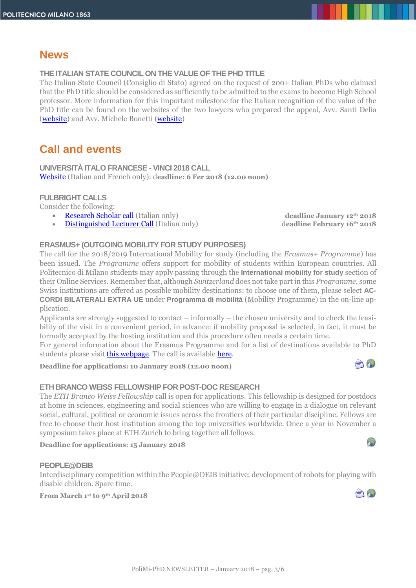# **News**

# **THE ITALIAN STATE COUNCIL ON THE VALUE OF THE PHD TITLE**

The Italian State Council (Consiglio di Stato) agreed on the request of 200+ Italian PhDs who claimed that the PhD title should be considered as sufficiently to be admitted to the exams to become High School professor. More information for this important milestone for the Italian recognition of the value of the PhD title can be found on the websites of the two lawyers who prepared the appeal, Avv. Santi Delia [\(website\)](http://www.avvocatosantidelia.it/news/1136-dottori-di-ricerca-svolta-al-consiglio-di-stato-sul-valore-del-loro-titolo-di-studio.html) and Avv. Michele Bonetti [\(website\)](http://www.avvocatomichelebonetti.it/notizie/tag/dottori%20di%20ricerca)

# **Call and events**

**UNIVERSITÀ ITALO FRANCESE - VINCI 2018 CALL** [Website](https://www.universite-franco-italienne.org/menu-principal/bandi/programma-vinci/bando-2018/) (Italian and French only): d**eadline: 6 Fer 2018 (12.00 noon)**

## **FULBRIGHT CALLS**

Consider the following:

- [Research Scholar call](http://www.fulbright.it/fulbright-research-scholar/) (Italian only) **deadline January 12th 2018**
- [Distinguished Lecturer Call](http://www.fulbright.it/fulbright-distinguished-lecturer-program/) (Italian only) d**eadline February 16th 2018**

# **ERASMUS+ (OUTGOING MOBILITY FOR STUDY PURPOSES)**

The call for the 2018/2019 International Mobility for study (including the *Erasmus+ Programme*) has been issued. The *Programme* offers support for mobility of students within European countries. All Politecnico di Milano students may apply passing through the **International mobility for study** section of their Online Services. Remember that, although *Switzerland* does not take part in this *Programme*, some Swiss institutions are offered as possible mobility destinations: to choose one of them, please select **AC-CORDI BILATERALI EXTRA UE** under **Programma di mobilità** (Mobility Programme) in the on-line application.

Applicants are strongly suggested to contact – informally – the chosen university and to check the feasibility of the visit in a convenient period, in advance: if mobility proposal is selected, in fact, it must be formally accepted by the hosting institution and this procedure often needs a certain time.

For general information about the Erasmus Programme and for a list of destinations available to PhD students please visit *this webpage*. The call is available *here*.

**Deadline for applications: 10 January 2018 (12.00 noon)**

## **ETH BRANCO WEISS FELLOWSHIP FOR POST-DOC RESEARCH**

The *ETH Branco Weiss Fellowship* call is open for applications. This fellowship is designed for postdocs at home in sciences, engineering and social sciences who are willing to engage in a dialogue on relevant social, cultural, political or economic issues across the frontiers of their particular discipline. Fellows are free to choose their host institution among the top universities worldwide. Once a year in November a symposium takes place at ETH Zurich to bring together all fellows.

#### **Deadline for applications: 15 January 2018**

#### **PEOPLE@DEIB**

Interdisciplinary competition within the People@DEIB initiative: development of robots for playing with disable children. Spare time.

**From March 1 st to 9th April 2018** 







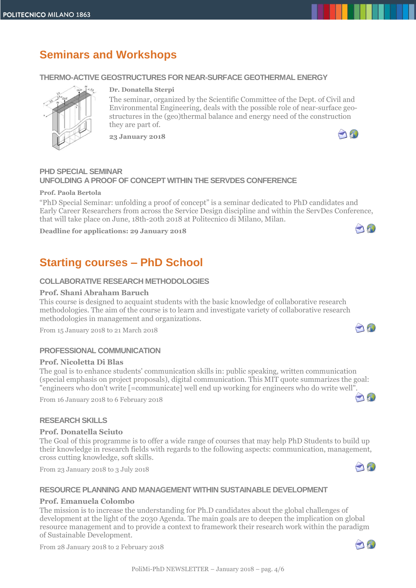# **Seminars and Workshops**

### **THERMO-ACTIVE GEOSTRUCTURES FOR NEAR-SURFACE GEOTHERMAL ENERGY**



#### **Dr. Donatella Sterpi**

The seminar, organized by the Scientific Committee of the Dept. of Civil and Environmental Engineering, deals with the possible role of near-surface geostructures in the (geo)thermal balance and energy need of the construction they are part of.

**23 January 2018**



### **PHD SPECIAL SEMINAR UNFOLDING A PROOF OF CONCEPT WITHIN THE SERVDES CONFERENCE**

#### **Prof. Paola Bertola**

"PhD Special Seminar: unfolding a proof of concept" is a seminar dedicated to PhD candidates and Early Career Researchers from across the Service Design discipline and within the ServDes Conference, that will take place on June, 18th-20th 2018 at Politecnico di Milano, Milan.

**Deadline for applications: 29 January 2018**



O

190

10

# **Starting courses – PhD School**

### **COLLABORATIVE RESEARCH METHODOLOGIES**

#### **Prof. Shani Abraham Baruch**

This course is designed to acquaint students with the basic knowledge of collaborative research methodologies. The aim of the course is to learn and investigate variety of collaborative research methodologies in management and organizations.

From 15 January 2018 to 21 March 2018

#### **PROFESSIONAL COMMUNICATION**

#### **Prof. Nicoletta Di Blas**

The goal is to enhance students' communication skills in: public speaking, written communication (special emphasis on project proposals), digital communication. This MIT quote summarizes the goal: "engineers who don't write [=communicate] well end up working for engineers who do write well[".](mailto:Nicoletta.diblas@polimi.it) 

From 16 January 2018 to 6 February 2018

#### **RESEARCH SKILLS**

#### **Prof. Donatella Sciuto**

The Goal of this programme is to offer a wide range of courses that may help PhD Students to build up their knowledge in research fields with regards to the following aspects: communication, management, cross cutting knowledge, soft skills.

From 23 January 2018 to 3 July 2018

#### **RESOURCE PLANNING AND MANAGEMENT WITHIN SUSTAINABLE DEVELOPMENT**

#### **Prof. Emanuela Colombo**

The mission is to increase the understanding for Ph.D candidates about the global challenges of development at the light of the 2030 Agenda. The main goals are to deepen the implication on global resource management and to provide a context to framework their research work within the paradigm of Sustainable Development.

From 28 January 2018 to 2 February 2018

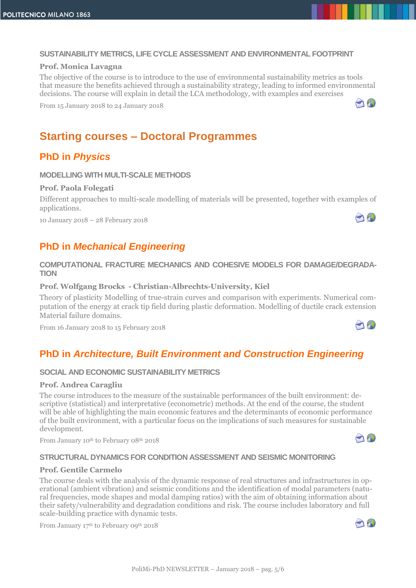#### **SUSTAINABILITY METRICS, LIFE CYCLE ASSESSMENT AND ENVIRONMENTAL FOOTPRINT**

#### **Prof. Monica Lavagna**

The objective of the course is to introduce to the use of environmental sustainability metrics as tools that measure the benefits achieved through a sustainability strategy, leading to informed environmental decisions. The course will explain in detail the LCA methodology, with examples and exercises

From 15 January 2018 to 24 January 2018



A

AN

# **Starting courses – Doctoral Programmes**

# **PhD in** *Physics*

#### **MODELLING WITH MULTI-SCALE METHODS**

### **Prof. Paola Folegati**

Different approaches to multi-scale modelling of materials will be presented, together with examples of applications.

10 January 2018 – 28 February 2018

# **PhD in** *Mechanical Engineering*

### **COMPUTATIONAL FRACTURE MECHANICS AND COHESIVE MODELS FOR DAMAGE/DEGRADA-TION**

#### **Prof. Wolfgang Brocks - Christian-Albrechts-University, Kiel**

Theory of plasticity Modelling of true-strain curves and comparison with experiments. Numerical computation of the energy at crack tip field during plastic deformation. Modelling of ductile crack extension Material failure domains.

From 16 January 2018 to 15 February 2018

# **PhD in** *Architecture, Built Environment and Construction Engineering*

#### **SOCIAL AND ECONOMIC SUSTAINABILITY METRICS**

#### **Prof. Andrea Caragliu**

The course introduces to the measure of the sustainable performances of the built environment: descriptive (statistical) and interpretative (econometric) methods. At the end of the course, the student will be able of highlighting the main economic features and the determinants of economic performance of the built environment, with a particular focus on the implications of such measures for sustainable development.

From January 10<sup>th</sup> to February 08<sup>th</sup> 2018



#### **STRUCTURAL DYNAMICS FOR CONDITION ASSESSMENT AND SEISMIC MONITORING**

### **Prof. Gentile Carmelo**

The course deals with the analysis of the dynamic response of real structures and infrastructures in operational (ambient vibration) and seismic conditions and the identification of modal parameters (natural frequencies, mode shapes and modal damping ratios) with the aim of obtaining information about their safety/vulnerability and degradation conditions and risk. The course includes laboratory and full scale-building practice with dynamic tests.

From January 17<sup>th</sup> to February 09<sup>th</sup> 2018